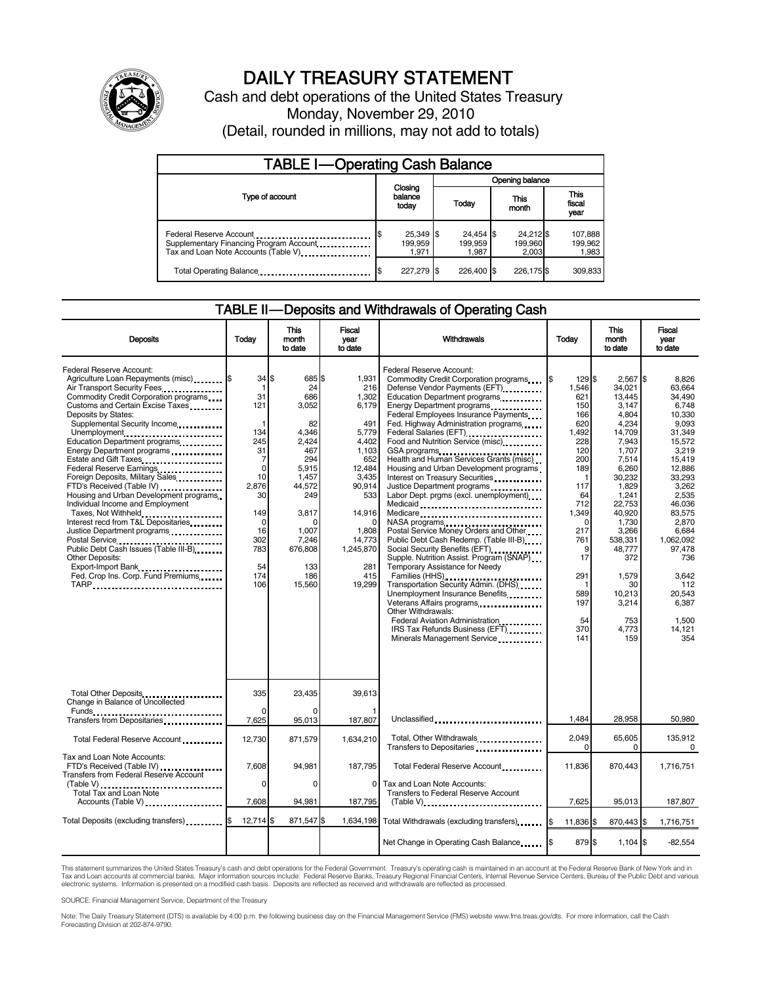

# DAILY TREASURY STATEMENT

Cash and debt operations of the United States Treasury Monday, November 29, 2010 (Detail, rounded in millions, may not add to totals)

| <b>TABLE I-Operating Cash Balance</b>                                                                      |                               |                               |                               |                             |  |  |
|------------------------------------------------------------------------------------------------------------|-------------------------------|-------------------------------|-------------------------------|-----------------------------|--|--|
|                                                                                                            |                               |                               | Opening balance               |                             |  |  |
| Type of account                                                                                            | Closing<br>balance<br>today   | Today                         | This<br>month                 | This<br>fiscal<br>year      |  |  |
| Federal Reserve Account<br>Supplementary Financing Program Account<br>Tax and Loan Note Accounts (Table V) | 25,349 \$<br>199.959<br>1.971 | 24,454 \$<br>199.959<br>1,987 | 24,212 \$<br>199,960<br>2.003 | 107,888<br>199,962<br>1,983 |  |  |
| Total Operating Balance                                                                                    | 227.279 \$                    | 226,400 \$                    | 226,175 \$                    | 309,833                     |  |  |

#### TABLE II — Deposits and Withdrawals of Operating Cash

| <b>Deposits</b>                                                                                                                                                                                                                                                                                                                                                                                                                                                                                                                                                                                                                                                                                                                                      | Todav                                                                                                                                                 | This<br>month<br>to date                                                                                                                                                        | Fiscal<br>year<br>to date                                                                                                                                                     | Withdrawals                                                                                                                                                                                                                                                                                                                                                                                                                                                                                                                                                                                                                                                                                                                                                                                                                                                                                                                                                                                                                                          | Todav                                                                                                                                                                                                           | <b>This</b><br>month<br>to date                                                                                                                                                                                                                               | Fiscal<br>vear<br>to date                                                                                                                                                                                                                                           |
|------------------------------------------------------------------------------------------------------------------------------------------------------------------------------------------------------------------------------------------------------------------------------------------------------------------------------------------------------------------------------------------------------------------------------------------------------------------------------------------------------------------------------------------------------------------------------------------------------------------------------------------------------------------------------------------------------------------------------------------------------|-------------------------------------------------------------------------------------------------------------------------------------------------------|---------------------------------------------------------------------------------------------------------------------------------------------------------------------------------|-------------------------------------------------------------------------------------------------------------------------------------------------------------------------------|------------------------------------------------------------------------------------------------------------------------------------------------------------------------------------------------------------------------------------------------------------------------------------------------------------------------------------------------------------------------------------------------------------------------------------------------------------------------------------------------------------------------------------------------------------------------------------------------------------------------------------------------------------------------------------------------------------------------------------------------------------------------------------------------------------------------------------------------------------------------------------------------------------------------------------------------------------------------------------------------------------------------------------------------------|-----------------------------------------------------------------------------------------------------------------------------------------------------------------------------------------------------------------|---------------------------------------------------------------------------------------------------------------------------------------------------------------------------------------------------------------------------------------------------------------|---------------------------------------------------------------------------------------------------------------------------------------------------------------------------------------------------------------------------------------------------------------------|
| Federal Reserve Account:<br>Agriculture Loan Repayments (misc) [\$<br>Air Transport Security Fees<br>Commodity Credit Corporation programs<br>Customs and Certain Excise Taxes<br>Deposits by States:<br>Supplemental Security Income<br>Unemployment<br>Education Department programs<br>Energy Department programs<br>Estate and Gift Taxes<br>Federal Reserve Earnings<br>Foreign Deposits, Military Sales<br>FTD's Received (Table IV)<br>Housing and Urban Development programs<br>Individual Income and Employment<br>Taxes, Not Withheld<br>Interest recd from T&L Depositaries<br>Justice Department programs<br>Public Debt Cash Issues (Table III-B)<br><b>Other Deposits:</b><br>Export-Import Bank<br>Fed. Crop Ins. Corp. Fund Premiums | $34$ S<br>1<br>31<br>121<br>1<br>134<br>245<br>31<br>7<br>$\mathbf 0$<br>10<br>2.876<br>30<br>149<br>$\Omega$<br>16<br>302<br>783<br>54<br>174<br>106 | 685 \$<br>24<br>686<br>3,052<br>82<br>4,346<br>2.424<br>467<br>294<br>5,915<br>1,457<br>44,572<br>249<br>3,817<br>$\Omega$<br>1,007<br>7,246<br>676,808<br>133<br>186<br>15,560 | 1,931<br>216<br>1,302<br>6,179<br>491<br>5,779<br>4.402<br>1,103<br>652<br>12,484<br>3.435<br>90,914<br>533<br>14,916<br>1,808<br>14,773<br>1,245,870<br>281<br>415<br>19,299 | Federal Reserve Account:<br>Commodity Credit Corporation programs<br>Defense Vendor Payments (EFT)<br>Education Department programs<br>Energy Department programs<br>Federal Employees Insurance Payments<br>Fed. Highway Administration programs<br>Federal Salaries (EFT)<br>1991 - Pateral Salaries (EFT)<br>Food and Nutrition Service (misc)<br>GSA programs<br>Health and Human Services Grants (misc)<br>Housing and Urban Development programs<br>Interest on Treasury Securities<br>Justice Department programs<br>Labor Dept. prgms (excl. unemployment)<br>Medicaid<br>Medicare<br>NASA programs<br>Postal Service Money Orders and Other<br>Public Debt Cash Redemp. (Table III-B)<br>Social Security Benefits (EFT)<br>Supple. Nutrition Assist. Program (SNAP)<br>Temporary Assistance for Needy<br>Families (HHS)<br>Transportation Security Admin. (DHS)<br>Unemployment Insurance Benefits<br>Other Withdrawals:<br>Federal Aviation Administration<br>IRS Tax Refunds Business (EFT)<br>Minerals Management Service <b>Mineral</b> | 129 \$<br>I\$<br>1.546<br>621<br>150<br>166<br>620<br>1,492<br>228<br>120<br>200<br>189<br>$\mathbf 1$<br>117<br>64<br>712<br>1,349<br>∩<br>217<br>761<br>9<br>17<br>291<br>1<br>589<br>197<br>54<br>370<br>141 | $2.567$ S<br>34.021<br>13,445<br>3,147<br>4,804<br>4.234<br>14,709<br>7,943<br>1,707<br>7,514<br>6,260<br>30,232<br>1,829<br>1,241<br>22,753<br>40,920<br>1,730<br>3,266<br>538,331<br>48,777<br>372<br>1,579<br>30<br>10.213<br>3,214<br>753<br>4,773<br>159 | 8.826<br>63.664<br>34,490<br>6,748<br>10,330<br>9.093<br>31,349<br>15,572<br>3,219<br>15,419<br>12,886<br>33,293<br>3.262<br>2,535<br>46,036<br>83.575<br>2.870<br>6,684<br>1,062,092<br>97,478<br>736<br>3,642<br>112<br>20.543<br>6,387<br>1,500<br>14,121<br>354 |
| Total Other Deposits<br>Change in Balance of Uncollected                                                                                                                                                                                                                                                                                                                                                                                                                                                                                                                                                                                                                                                                                             | 335                                                                                                                                                   | 23.435                                                                                                                                                                          | 39.613                                                                                                                                                                        |                                                                                                                                                                                                                                                                                                                                                                                                                                                                                                                                                                                                                                                                                                                                                                                                                                                                                                                                                                                                                                                      |                                                                                                                                                                                                                 |                                                                                                                                                                                                                                                               |                                                                                                                                                                                                                                                                     |
| Funds __<br>Transfers from Depositaries                                                                                                                                                                                                                                                                                                                                                                                                                                                                                                                                                                                                                                                                                                              | $\Omega$<br>7,625                                                                                                                                     | $\Omega$<br>95,013                                                                                                                                                              | 187,807                                                                                                                                                                       | Unclassified                                                                                                                                                                                                                                                                                                                                                                                                                                                                                                                                                                                                                                                                                                                                                                                                                                                                                                                                                                                                                                         | 1.484                                                                                                                                                                                                           | 28.958                                                                                                                                                                                                                                                        | 50.980                                                                                                                                                                                                                                                              |
| Total Federal Reserve Account                                                                                                                                                                                                                                                                                                                                                                                                                                                                                                                                                                                                                                                                                                                        | 12,730                                                                                                                                                | 871,579                                                                                                                                                                         | 1,634,210                                                                                                                                                                     | Total, Other Withdrawals<br>Transfers to Depositaries                                                                                                                                                                                                                                                                                                                                                                                                                                                                                                                                                                                                                                                                                                                                                                                                                                                                                                                                                                                                | 2,049<br>$\Omega$                                                                                                                                                                                               | 65,605<br>0                                                                                                                                                                                                                                                   | 135,912<br>$\Omega$                                                                                                                                                                                                                                                 |
| Tax and Loan Note Accounts:<br>FTD's Received (Table IV)<br>Transfers from Federal Reserve Account                                                                                                                                                                                                                                                                                                                                                                                                                                                                                                                                                                                                                                                   | 7.608                                                                                                                                                 | 94,981                                                                                                                                                                          | 187,795                                                                                                                                                                       | Total Federal Reserve Account                                                                                                                                                                                                                                                                                                                                                                                                                                                                                                                                                                                                                                                                                                                                                                                                                                                                                                                                                                                                                        | 11.836                                                                                                                                                                                                          | 870.443                                                                                                                                                                                                                                                       | 1,716,751                                                                                                                                                                                                                                                           |
| (Table V)<br>Total Tax and Loan Note<br>Accounts (Table V)                                                                                                                                                                                                                                                                                                                                                                                                                                                                                                                                                                                                                                                                                           | $\Omega$<br>7,608                                                                                                                                     | $\Omega$<br>94,981                                                                                                                                                              | 0<br>187,795                                                                                                                                                                  | Tax and Loan Note Accounts:<br>Transfers to Federal Reserve Account<br>$(Table V)$ ,                                                                                                                                                                                                                                                                                                                                                                                                                                                                                                                                                                                                                                                                                                                                                                                                                                                                                                                                                                 | 7,625                                                                                                                                                                                                           | 95,013                                                                                                                                                                                                                                                        | 187,807                                                                                                                                                                                                                                                             |
| Total Deposits (excluding transfers) [100]                                                                                                                                                                                                                                                                                                                                                                                                                                                                                                                                                                                                                                                                                                           | 12,714                                                                                                                                                | 871,547\$                                                                                                                                                                       | 1,634,198                                                                                                                                                                     | Total Withdrawals (excluding transfers) [8]                                                                                                                                                                                                                                                                                                                                                                                                                                                                                                                                                                                                                                                                                                                                                                                                                                                                                                                                                                                                          | 11,836 \$                                                                                                                                                                                                       | 870,443 \$                                                                                                                                                                                                                                                    | 1,716,751                                                                                                                                                                                                                                                           |
|                                                                                                                                                                                                                                                                                                                                                                                                                                                                                                                                                                                                                                                                                                                                                      |                                                                                                                                                       |                                                                                                                                                                                 |                                                                                                                                                                               | Net Change in Operating Cash Balance                                                                                                                                                                                                                                                                                                                                                                                                                                                                                                                                                                                                                                                                                                                                                                                                                                                                                                                                                                                                                 | 879 \$                                                                                                                                                                                                          | $1.104$ S                                                                                                                                                                                                                                                     | $-82,554$                                                                                                                                                                                                                                                           |

This statement summarizes the United States Treasury's cash and debt operations for the Federal Government. Treasury's operating cash is maintained in an account at the Federal Reserve Bank of New York and in<br>Tax and Loan electronic systems. Information is presented on a modified cash basis. Deposits are reflected as received and withdrawals are reflected as processed.

SOURCE: Financial Management Service, Department of the Treasury

Note: The Daily Treasury Statement (DTS) is available by 4:00 p.m. the following business day on the Financial Management Service (FMS) website www.fms.treas.gov/dts. For more information, call the Cash Forecasting Division at 202-874-9790.